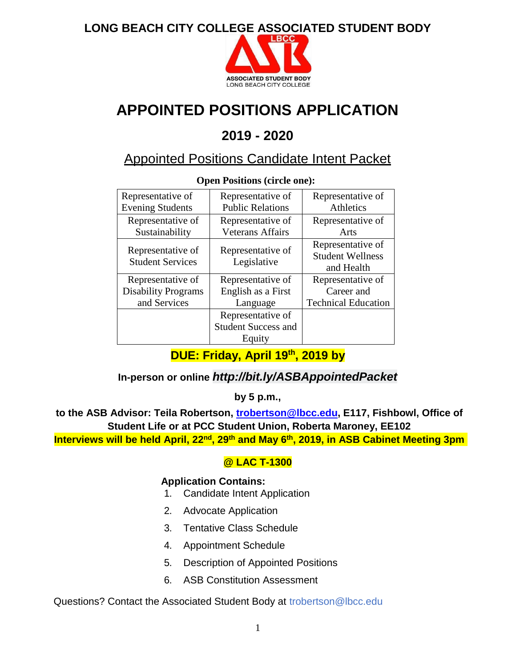

# **APPOINTED POSITIONS APPLICATION**

# **2019 - 2020**

# Appointed Positions Candidate Intent Packet

| Representative of<br><b>Evening Students</b> | Representative of<br><b>Public Relations</b> | Representative of<br>Athletics                             |
|----------------------------------------------|----------------------------------------------|------------------------------------------------------------|
| Representative of<br>Sustainability          | Representative of<br><b>Veterans Affairs</b> | Representative of<br>Arts                                  |
| Representative of<br><b>Student Services</b> | Representative of<br>Legislative             | Representative of<br><b>Student Wellness</b><br>and Health |
| Representative of                            | Representative of                            | Representative of                                          |
| <b>Disability Programs</b>                   | English as a First                           | Career and                                                 |
| and Services                                 | Language                                     | <b>Technical Education</b>                                 |
|                                              | Representative of                            |                                                            |
|                                              | <b>Student Success and</b>                   |                                                            |
|                                              | Equity                                       |                                                            |

**Open Positions (circle one):**

# **DUE: Friday, April 19th , 2019 by**

**In-person or online** *http://bit.ly/ASBAppointedPacket*

**by 5 p.m.,**

**to the ASB Advisor: Teila Robertson, [trobertson@lbcc.edu,](mailto:trobertson@lbcc.edu) E117, Fishbowl, Office of Student Life or at PCC Student Union, Roberta Maroney, EE102**

**Interviews will be held April, 22nd , 29th and May 6th , 2019, in ASB Cabinet Meeting 3pm** 

#### **@ LAC T-1300**

#### **Application Contains:**

- 1. Candidate Intent Application
- 2. Advocate Application
- 3. Tentative Class Schedule
- 4. Appointment Schedule
- 5. Description of Appointed Positions
- 6. ASB Constitution Assessment

Questions? Contact the Associated Student Body at [trobertson@lbcc.edu](mailto:trobertson@lbcc.edu)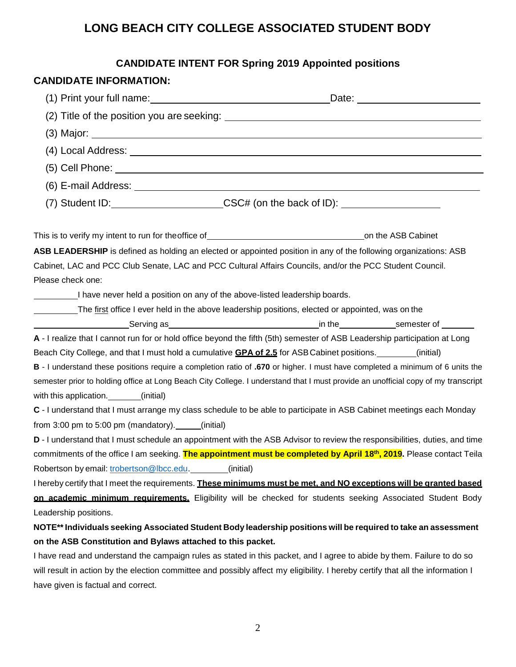# **CANDIDATE INTENT FOR Spring 2019 Appointed positions**

#### **CANDIDATE INFORMATION:**

| (1) Print your full name: (a) and the set of the set of the set of the set of the set of the set of the set of the set of the set of the set of the set of the set of the set of the set of the set of the set of the set of t |                                                                                                                                                                                                                                |  |  |  |
|--------------------------------------------------------------------------------------------------------------------------------------------------------------------------------------------------------------------------------|--------------------------------------------------------------------------------------------------------------------------------------------------------------------------------------------------------------------------------|--|--|--|
|                                                                                                                                                                                                                                |                                                                                                                                                                                                                                |  |  |  |
|                                                                                                                                                                                                                                |                                                                                                                                                                                                                                |  |  |  |
|                                                                                                                                                                                                                                |                                                                                                                                                                                                                                |  |  |  |
|                                                                                                                                                                                                                                |                                                                                                                                                                                                                                |  |  |  |
|                                                                                                                                                                                                                                |                                                                                                                                                                                                                                |  |  |  |
|                                                                                                                                                                                                                                |                                                                                                                                                                                                                                |  |  |  |
|                                                                                                                                                                                                                                | (7) Student ID:________________________CSC# (on the back of ID): _______________                                                                                                                                               |  |  |  |
|                                                                                                                                                                                                                                |                                                                                                                                                                                                                                |  |  |  |
|                                                                                                                                                                                                                                | ASB LEADERSHIP is defined as holding an elected or appointed position in any of the following organizations: ASB                                                                                                               |  |  |  |
|                                                                                                                                                                                                                                | Cabinet, LAC and PCC Club Senate, LAC and PCC Cultural Affairs Councils, and/or the PCC Student Council.                                                                                                                       |  |  |  |
| Please check one:                                                                                                                                                                                                              |                                                                                                                                                                                                                                |  |  |  |
| I have never held a position on any of the above-listed leadership boards.                                                                                                                                                     |                                                                                                                                                                                                                                |  |  |  |
|                                                                                                                                                                                                                                | The first office I ever held in the above leadership positions, elected or appointed, was on the                                                                                                                               |  |  |  |
|                                                                                                                                                                                                                                | end of the semester of the semester of the semester of the semester of the semester of the semester of the semester of the semester of the semester of the semester of the semester of the semester of the semester of the sem |  |  |  |
|                                                                                                                                                                                                                                | A - I realize that I cannot run for or hold office beyond the fifth (5th) semester of ASB Leadership participation at Long                                                                                                     |  |  |  |
|                                                                                                                                                                                                                                | Beach City College, and that I must hold a cumulative <b>GPA of 2.5</b> for ASB Cabinet positions. [ <i>initial</i> ]                                                                                                          |  |  |  |
| B - I understand these positions require a completion ratio of .670 or higher. I must have completed a minimum of 6 units the                                                                                                  |                                                                                                                                                                                                                                |  |  |  |
|                                                                                                                                                                                                                                | semester prior to holding office at Long Beach City College. I understand that I must provide an unofficial copy of my transcript                                                                                              |  |  |  |
| with this application. _______(initial)                                                                                                                                                                                        |                                                                                                                                                                                                                                |  |  |  |
| C - I understand that I must arrange my class schedule to be able to participate in ASB Cabinet meetings each Monday                                                                                                           |                                                                                                                                                                                                                                |  |  |  |
| from 3:00 pm to 5:00 pm (mandatory). $\quad$ (initial)                                                                                                                                                                         |                                                                                                                                                                                                                                |  |  |  |
| D - I understand that I must schedule an appointment with the ASB Advisor to review the responsibilities, duties, and time                                                                                                     |                                                                                                                                                                                                                                |  |  |  |
|                                                                                                                                                                                                                                | commitments of the office I am seeking. The appointment must be completed by April 18 <sup>th</sup> , 2019. Please contact Teila                                                                                               |  |  |  |
| Robertson by email: trobertson@lbcc.edu. ________ (initial)                                                                                                                                                                    |                                                                                                                                                                                                                                |  |  |  |
|                                                                                                                                                                                                                                | I hereby certify that I meet the requirements. These minimums must be met, and NO exceptions will be granted based                                                                                                             |  |  |  |
|                                                                                                                                                                                                                                | on academic minimum requirements. Eligibility will be checked for students seeking Associated Student Body                                                                                                                     |  |  |  |
| Leadership positions.                                                                                                                                                                                                          |                                                                                                                                                                                                                                |  |  |  |
|                                                                                                                                                                                                                                | NOTE** Individuals seeking Associated Student Body leadership positions will be required to take an assessment                                                                                                                 |  |  |  |
| on the ASB Constitution and Bylaws attached to this packet.                                                                                                                                                                    |                                                                                                                                                                                                                                |  |  |  |
| I have read and understand the campaign rules as stated in this packet, and I agree to abide by them. Failure to do so                                                                                                         |                                                                                                                                                                                                                                |  |  |  |
| will result in action by the election committee and possibly affect my eligibility. I hereby certify that all the information I                                                                                                |                                                                                                                                                                                                                                |  |  |  |
| have given is factual and correct.                                                                                                                                                                                             |                                                                                                                                                                                                                                |  |  |  |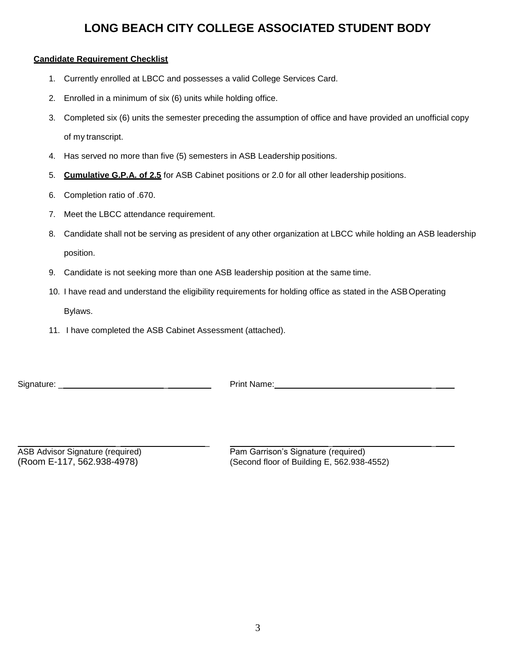#### **Candidate Requirement Checklist**

- 1. Currently enrolled at LBCC and possesses a valid College Services Card.
- 2. Enrolled in a minimum of six (6) units while holding office.
- 3. Completed six (6) units the semester preceding the assumption of office and have provided an unofficial copy of my transcript.
- 4. Has served no more than five (5) semesters in ASB Leadership positions.
- 5. **Cumulative G.P.A. of 2.5** for ASB Cabinet positions or 2.0 for all other leadership positions.
- 6. Completion ratio of .670.
- 7. Meet the LBCC attendance requirement.
- 8. Candidate shall not be serving as president of any other organization at LBCC while holding an ASB leadership position.
- 9. Candidate is not seeking more than one ASB leadership position at the same time.
- 10. I have read and understand the eligibility requirements for holding office as stated in the ASBOperating Bylaws.
- 11. I have completed the ASB Cabinet Assessment (attached).

Signature: \_ \_ Print Name: \_

\_ \_ \_ \_ ASB Advisor Signature (required) Pam Garrison's Signature (required) (Room E-117, 562.938-4978) (Second floor of Building E, 562.938-4552)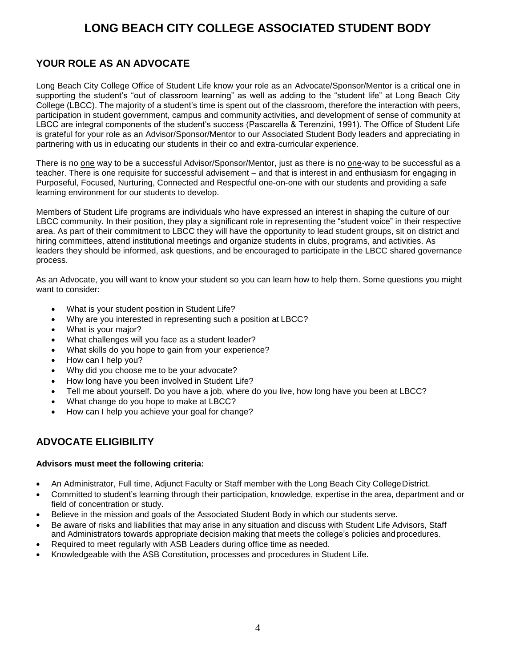#### **YOUR ROLE AS AN ADVOCATE**

Long Beach City College Office of Student Life know your role as an Advocate/Sponsor/Mentor is a critical one in supporting the student's "out of classroom learning" as well as adding to the "student life" at Long Beach City College (LBCC). The majority of a student's time is spent out of the classroom, therefore the interaction with peers, participation in student government, campus and community activities, and development of sense of community at LBCC are integral components of the student's success (Pascarella & Terenzini, 1991). The Office of Student Life is grateful for your role as an Advisor/Sponsor/Mentor to our Associated Student Body leaders and appreciating in partnering with us in educating our students in their co and extra-curricular experience.

There is no one way to be a successful Advisor/Sponsor/Mentor, just as there is no one-way to be successful as a teacher. There is one requisite for successful advisement – and that is interest in and enthusiasm for engaging in Purposeful, Focused, Nurturing, Connected and Respectful one-on-one with our students and providing a safe learning environment for our students to develop.

Members of Student Life programs are individuals who have expressed an interest in shaping the culture of our LBCC community. In their position, they play a significant role in representing the "student voice" in their respective area. As part of their commitment to LBCC they will have the opportunity to lead student groups, sit on district and hiring committees, attend institutional meetings and organize students in clubs, programs, and activities. As leaders they should be informed, ask questions, and be encouraged to participate in the LBCC shared governance process.

As an Advocate, you will want to know your student so you can learn how to help them. Some questions you might want to consider:

- What is your student position in Student Life?
- Why are you interested in representing such a position at LBCC?
- What is your major?
- What challenges will you face as a student leader?
- What skills do you hope to gain from your experience?
- How can I help you?
- Why did you choose me to be your advocate?
- How long have you been involved in Student Life?
- Tell me about yourself. Do you have a job, where do you live, how long have you been at LBCC?
- What change do you hope to make at LBCC?
- How can I help you achieve your goal for change?

#### **ADVOCATE ELIGIBILITY**

#### **Advisors must meet the following criteria:**

- An Administrator, Full time, Adjunct Faculty or Staff member with the Long Beach City CollegeDistrict.
- Committed to student's learning through their participation, knowledge, expertise in the area, department and or field of concentration or study.
- Believe in the mission and goals of the Associated Student Body in which our students serve.
- Be aware of risks and liabilities that may arise in any situation and discuss with Student Life Advisors, Staff and Administrators towards appropriate decision making that meets the college's policies andprocedures.
- Required to meet regularly with ASB Leaders during office time as needed.
- Knowledgeable with the ASB Constitution, processes and procedures in Student Life.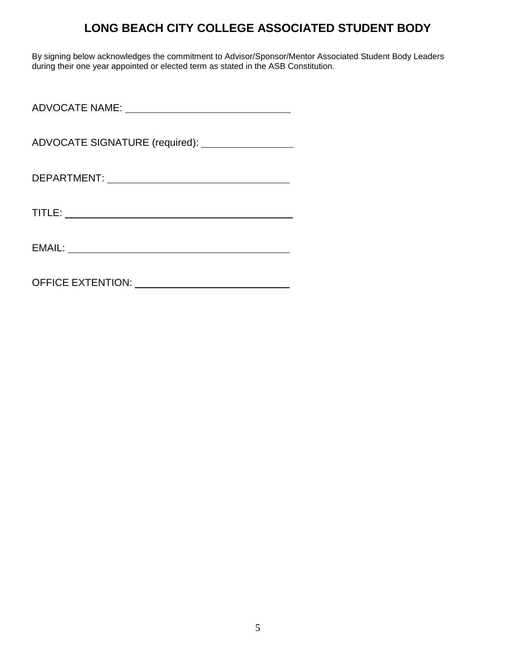By signing below acknowledges the commitment to Advisor/Sponsor/Mentor Associated Student Body Leaders during their one year appointed or elected term as stated in the ASB Constitution.

ADVOCATE NAME:

ADVOCATE SIGNATURE (required): \_\_\_\_\_\_\_\_\_\_\_\_\_\_\_\_\_\_

DEPARTMENT:

TITLE:

OFFICE EXTENTION: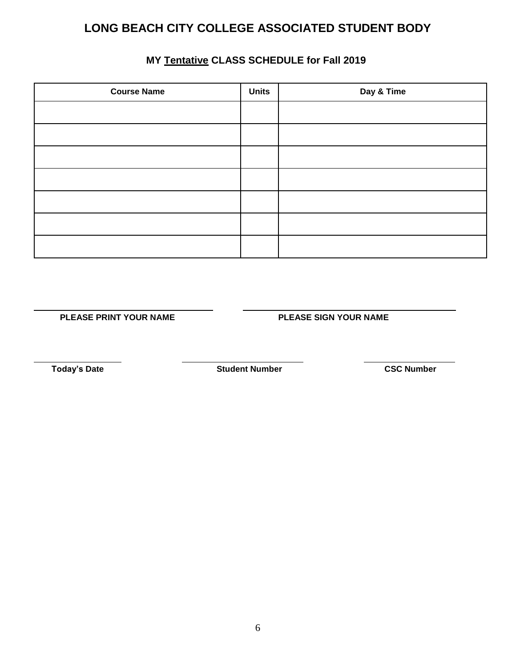#### **MY Tentative CLASS SCHEDULE for Fall 2019**

| <b>Course Name</b> | <b>Units</b> | Day & Time |
|--------------------|--------------|------------|
|                    |              |            |
|                    |              |            |
|                    |              |            |
|                    |              |            |
|                    |              |            |
|                    |              |            |
|                    |              |            |

**PLEASE PRINT YOUR NAME PLEASE SIGN YOUR NAME**

 **Today's Date Student Number CSC Number**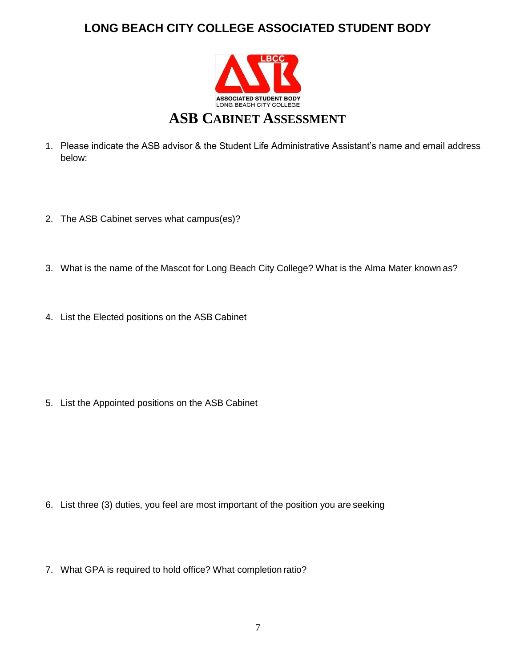

- 1. Please indicate the ASB advisor & the Student Life Administrative Assistant's name and email address below:
- 2. The ASB Cabinet serves what campus(es)?
- 3. What is the name of the Mascot for Long Beach City College? What is the Alma Mater known as?
- 4. List the Elected positions on the ASB Cabinet

5. List the Appointed positions on the ASB Cabinet

- 6. List three (3) duties, you feel are most important of the position you are seeking
- 7. What GPA is required to hold office? What completion ratio?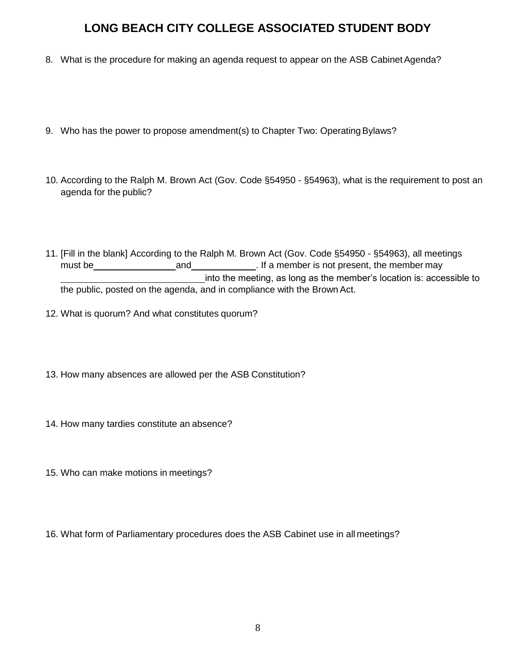- 8. What is the procedure for making an agenda request to appear on the ASB Cabinet Agenda?
- 9. Who has the power to propose amendment(s) to Chapter Two: Operating Bylaws?
- 10. According to the Ralph M. Brown Act (Gov. Code §54950 §54963), what is the requirement to post an agenda for the public?
- 11. [Fill in the blank] According to the Ralph M. Brown Act (Gov. Code §54950 §54963), all meetings must be **and and and and and if a member is not present, the member may** into the meeting, as long as the member's location is: accessible to the public, posted on the agenda, and in compliance with the Brown Act.
- 12. What is quorum? And what constitutes quorum?
- 13. How many absences are allowed per the ASB Constitution?
- 14. How many tardies constitute an absence?
- 15. Who can make motions in meetings?
- 16. What form of Parliamentary procedures does the ASB Cabinet use in all meetings?